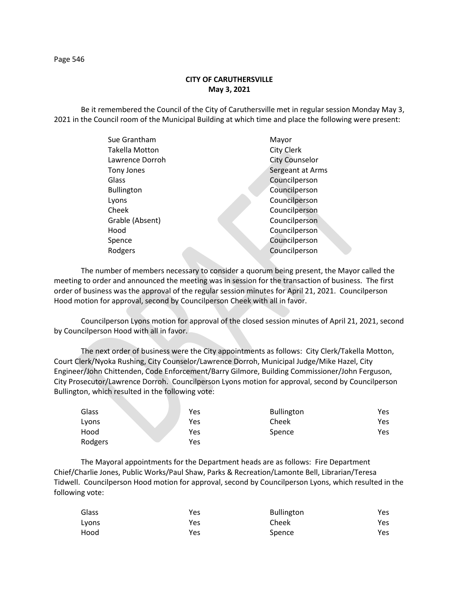## **CITY OF CARUTHERSVILLE May 3, 2021**

Be it remembered the Council of the City of Caruthersville met in regular session Monday May 3, 2021 in the Council room of the Municipal Building at which time and place the following were present:

| Sue Grantham          |  | Mayor                 |
|-----------------------|--|-----------------------|
| <b>Takella Motton</b> |  | City Clerk            |
| Lawrence Dorroh       |  | <b>City Counselor</b> |
| Tony Jones            |  | Sergeant at Arms      |
| Glass                 |  | Councilperson         |
| <b>Bullington</b>     |  | Councilperson         |
| Lyons                 |  | Councilperson         |
| Cheek                 |  | Councilperson         |
| Grable (Absent)       |  | Councilperson         |
| Hood                  |  | Councilperson         |
| Spence                |  | Councilperson         |
| Rodgers               |  | Councilperson         |
|                       |  |                       |

The number of members necessary to consider a quorum being present, the Mayor called the meeting to order and announced the meeting was in session for the transaction of business. The first order of business was the approval of the regular session minutes for April 21, 2021. Councilperson Hood motion for approval, second by Councilperson Cheek with all in favor.

Councilperson Lyons motion for approval of the closed session minutes of April 21, 2021, second by Councilperson Hood with all in favor.

The next order of business were the City appointments as follows: City Clerk/Takella Motton, Court Clerk/Nyoka Rushing, City Counselor/Lawrence Dorroh, Municipal Judge/Mike Hazel, City Engineer/John Chittenden, Code Enforcement/Barry Gilmore, Building Commissioner/John Ferguson, City Prosecutor/Lawrence Dorroh. Councilperson Lyons motion for approval, second by Councilperson Bullington, which resulted in the following vote:

| Glass   | Yes | <b>Bullington</b> | Yes |
|---------|-----|-------------------|-----|
| Lyons   | Yes | Cheek             | Yes |
| Hood    | Yes | Spence            | Yes |
| Rodgers | Yes |                   |     |

The Mayoral appointments for the Department heads are as follows: Fire Department Chief/Charlie Jones, Public Works/Paul Shaw, Parks & Recreation/Lamonte Bell, Librarian/Teresa Tidwell. Councilperson Hood motion for approval, second by Councilperson Lyons, which resulted in the following vote:

| Glass | Yes | <b>Bullington</b> | Yes |
|-------|-----|-------------------|-----|
| Lyons | Yes | Cheek             | Yes |
| Hood  | Yes | Spence            | Yes |

Page 546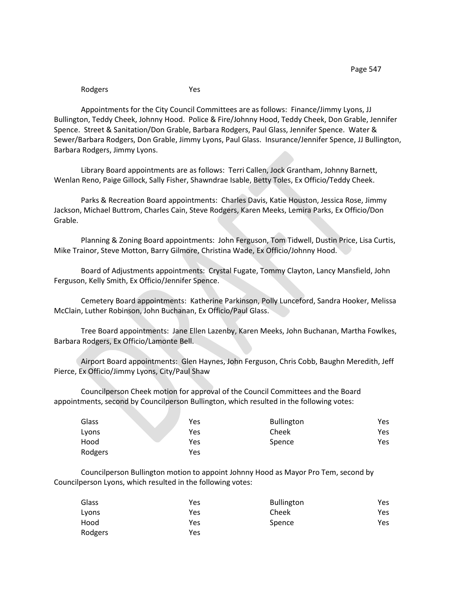Rodgers Yes

Appointments for the City Council Committees are as follows: Finance/Jimmy Lyons, JJ Bullington, Teddy Cheek, Johnny Hood. Police & Fire/Johnny Hood, Teddy Cheek, Don Grable, Jennifer Spence. Street & Sanitation/Don Grable, Barbara Rodgers, Paul Glass, Jennifer Spence. Water & Sewer/Barbara Rodgers, Don Grable, Jimmy Lyons, Paul Glass. Insurance/Jennifer Spence, JJ Bullington, Barbara Rodgers, Jimmy Lyons.

Library Board appointments are as follows: Terri Callen, Jock Grantham, Johnny Barnett, Wenlan Reno, Paige Gillock, Sally Fisher, Shawndrae Isable, Betty Toles, Ex Officio/Teddy Cheek.

Parks & Recreation Board appointments: Charles Davis, Katie Houston, Jessica Rose, Jimmy Jackson, Michael Buttrom, Charles Cain, Steve Rodgers, Karen Meeks, Lemira Parks, Ex Officio/Don Grable.

Planning & Zoning Board appointments: John Ferguson, Tom Tidwell, Dustin Price, Lisa Curtis, Mike Trainor, Steve Motton, Barry Gilmore, Christina Wade, Ex Officio/Johnny Hood.

Board of Adjustments appointments: Crystal Fugate, Tommy Clayton, Lancy Mansfield, John Ferguson, Kelly Smith, Ex Officio/Jennifer Spence.

Cemetery Board appointments: Katherine Parkinson, Polly Lunceford, Sandra Hooker, Melissa McClain, Luther Robinson, John Buchanan, Ex Officio/Paul Glass.

Tree Board appointments: Jane Ellen Lazenby, Karen Meeks, John Buchanan, Martha Fowlkes, Barbara Rodgers, Ex Officio/Lamonte Bell.

Airport Board appointments: Glen Haynes, John Ferguson, Chris Cobb, Baughn Meredith, Jeff Pierce, Ex Officio/Jimmy Lyons, City/Paul Shaw

Councilperson Cheek motion for approval of the Council Committees and the Board appointments, second by Councilperson Bullington, which resulted in the following votes:

| Glass   | Yes | <b>Bullington</b> | Yes |
|---------|-----|-------------------|-----|
| Lyons   | Yes | Cheek             | Yes |
| Hood    | Yes | Spence            | Yes |
| Rodgers | Yes |                   |     |

Councilperson Bullington motion to appoint Johnny Hood as Mayor Pro Tem, second by Councilperson Lyons, which resulted in the following votes:

| Glass   | Yes | <b>Bullington</b> | Yes |
|---------|-----|-------------------|-----|
| Lyons   | Yes | Cheek             | Yes |
| Hood    | Yes | Spence            | Yes |
| Rodgers | Yes |                   |     |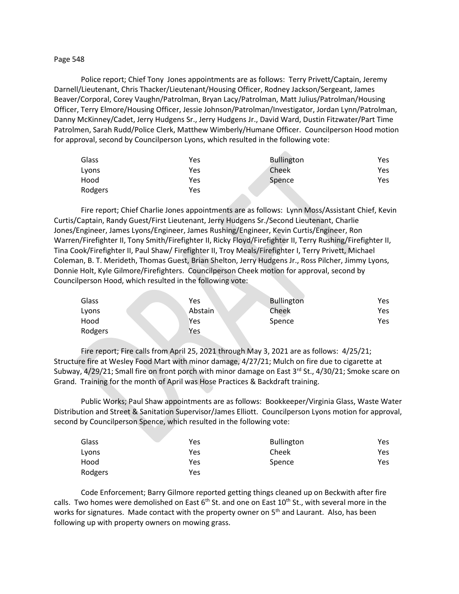## Page 548

Police report; Chief Tony Jones appointments are as follows: Terry Privett/Captain, Jeremy Darnell/Lieutenant, Chris Thacker/Lieutenant/Housing Officer, Rodney Jackson/Sergeant, James Beaver/Corporal, Corey Vaughn/Patrolman, Bryan Lacy/Patrolman, Matt Julius/Patrolman/Housing Officer, Terry Elmore/Housing Officer, Jessie Johnson/Patrolman/Investigator, Jordan Lynn/Patrolman, Danny McKinney/Cadet, Jerry Hudgens Sr., Jerry Hudgens Jr., David Ward, Dustin Fitzwater/Part Time Patrolmen, Sarah Rudd/Police Clerk, Matthew Wimberly/Humane Officer. Councilperson Hood motion for approval, second by Councilperson Lyons, which resulted in the following vote:

| Glass   | Yes | <b>Bullington</b> | Yes |
|---------|-----|-------------------|-----|
| Lyons   | Yes | Cheek             | Yes |
| Hood    | Yes | Spence            | Yes |
| Rodgers | Yes |                   |     |

Fire report; Chief Charlie Jones appointments are as follows: Lynn Moss/Assistant Chief, Kevin Curtis/Captain, Randy Guest/First Lieutenant, Jerry Hudgens Sr./Second Lieutenant, Charlie Jones/Engineer, James Lyons/Engineer, James Rushing/Engineer, Kevin Curtis/Engineer, Ron Warren/Firefighter II, Tony Smith/Firefighter II, Ricky Floyd/Firefighter II, Terry Rushing/Firefighter II, Tina Cook/Firefighter II, Paul Shaw/ Firefighter II, Troy Meals/Firefighter I, Terry Privett, Michael Coleman, B. T. Merideth, Thomas Guest, Brian Shelton, Jerry Hudgens Jr., Ross Pilcher, Jimmy Lyons, Donnie Holt, Kyle Gilmore/Firefighters. Councilperson Cheek motion for approval, second by Councilperson Hood, which resulted in the following vote:

| Glass   | Yes     | <b>Bullington</b> | Yes |
|---------|---------|-------------------|-----|
| Lyons   | Abstain | Cheek             | Yes |
| Hood    | Yes     | Spence            | Yes |
| Rodgers | Yes     |                   |     |

Fire report; Fire calls from April 25, 2021 through May 3, 2021 are as follows: 4/25/21; Structure fire at Wesley Food Mart with minor damage, 4/27/21; Mulch on fire due to cigarette at Subway, 4/29/21; Small fire on front porch with minor damage on East 3<sup>rd</sup> St., 4/30/21; Smoke scare on Grand. Training for the month of April was Hose Practices & Backdraft training.

Public Works; Paul Shaw appointments are as follows: Bookkeeper/Virginia Glass, Waste Water Distribution and Street & Sanitation Supervisor/James Elliott. Councilperson Lyons motion for approval, second by Councilperson Spence, which resulted in the following vote:

| Glass   | Yes | <b>Bullington</b> | Yes. |
|---------|-----|-------------------|------|
| Lyons   | Yes | Cheek             | Yes  |
| Hood    | Yes | Spence            | Yes. |
| Rodgers | Yes |                   |      |

Code Enforcement; Barry Gilmore reported getting things cleaned up on Beckwith after fire calls. Two homes were demolished on East  $6<sup>th</sup>$  St. and one on East 10<sup>th</sup> St., with several more in the works for signatures. Made contact with the property owner on 5<sup>th</sup> and Laurant. Also, has been following up with property owners on mowing grass.